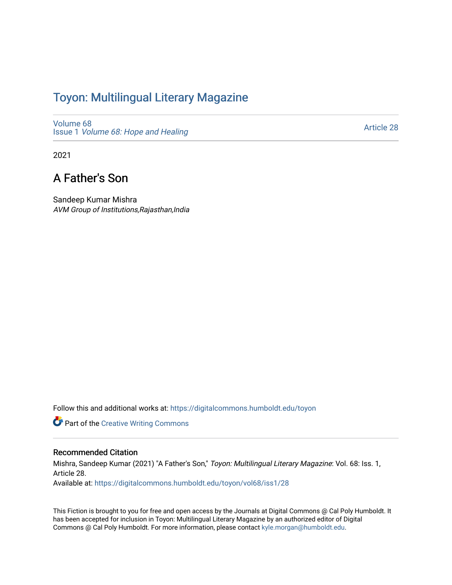# Toyon: Multilingual Literar[y](https://digitalcommons.humboldt.edu/toyon) Magazine

[Volume 68](https://digitalcommons.humboldt.edu/toyon/vol68) Issue 1 [Volume 68: Hope and Healing](https://digitalcommons.humboldt.edu/toyon/vol68/iss1) 

[Article 28](https://digitalcommons.humboldt.edu/toyon/vol68/iss1/28) 

2021

## A Father's Son

Sandeep Kumar Mishra AVM Group of Institutions,Rajasthan,India

Follow this and additional works at: [https://digitalcommons.humboldt.edu/toyon](https://digitalcommons.humboldt.edu/toyon?utm_source=digitalcommons.humboldt.edu%2Ftoyon%2Fvol68%2Fiss1%2F28&utm_medium=PDF&utm_campaign=PDFCoverPages)

**Part of the Creative Writing Commons** 

#### Recommended Citation

Mishra, Sandeep Kumar (2021) "A Father's Son," Toyon: Multilingual Literary Magazine: Vol. 68: Iss. 1, Article 28.

Available at: [https://digitalcommons.humboldt.edu/toyon/vol68/iss1/28](https://digitalcommons.humboldt.edu/toyon/vol68/iss1/28?utm_source=digitalcommons.humboldt.edu%2Ftoyon%2Fvol68%2Fiss1%2F28&utm_medium=PDF&utm_campaign=PDFCoverPages) 

This Fiction is brought to you for free and open access by the Journals at Digital Commons @ Cal Poly Humboldt. It has been accepted for inclusion in Toyon: Multilingual Literary Magazine by an authorized editor of Digital Commons @ Cal Poly Humboldt. For more information, please contact [kyle.morgan@humboldt.edu](mailto:kyle.morgan@humboldt.edu).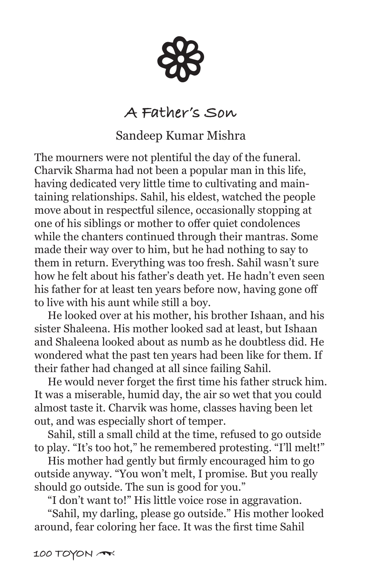88

### **A Father's Son**

### Sandeep Kumar Mishra

The mourners were not plentiful the day of the funeral. Charvik Sharma had not been a popular man in this life, having dedicated very little time to cultivating and maintaining relationships. Sahil, his eldest, watched the people move about in respectful silence, occasionally stopping at one of his siblings or mother to offer quiet condolences while the chanters continued through their mantras. Some made their way over to him, but he had nothing to say to them in return. Everything was too fresh. Sahil wasn't sure how he felt about his father's death yet. He hadn't even seen his father for at least ten years before now, having gone off to live with his aunt while still a boy.

 He looked over at his mother, his brother Ishaan, and his sister Shaleena. His mother looked sad at least, but Ishaan and Shaleena looked about as numb as he doubtless did. He wondered what the past ten years had been like for them. If their father had changed at all since failing Sahil.

 He would never forget the first time his father struck him. It was a miserable, humid day, the air so wet that you could almost taste it. Charvik was home, classes having been let out, and was especially short of temper.

 Sahil, still a small child at the time, refused to go outside to play. "It's too hot," he remembered protesting. "I'll melt!"

 His mother had gently but firmly encouraged him to go outside anyway. "You won't melt, I promise. But you really should go outside. The sun is good for you."

"I don't want to!" His little voice rose in aggravation.

 "Sahil, my darling, please go outside." His mother looked around, fear coloring her face. It was the first time Sahil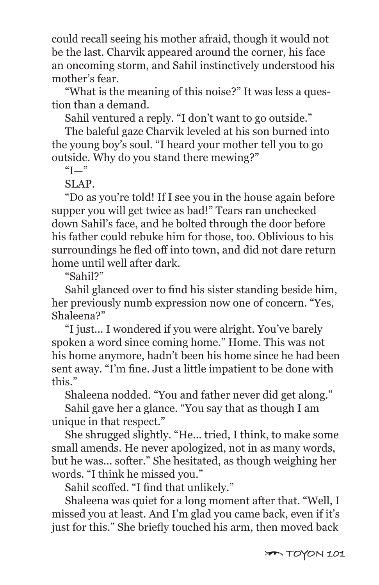could recall seeing his mother afraid, though it would not be the last. Charvik appeared around the corner, his face an oncoming storm, and Sahil instinctively understood his mother's fear.

 "What is the meaning of this noise?" It was less a question than a demand.

Sahil ventured a reply. "I don't want to go outside."

 The baleful gaze Charvik leveled at his son burned into the young boy's soul. "I heard your mother tell you to go outside. Why do you stand there mewing?"

 $\mathrm{H}$ "

SLAP.

 "Do as you're told! If I see you in the house again before supper you will get twice as bad!" Tears ran unchecked down Sahil's face, and he bolted through the door before his father could rebuke him for those, too. Oblivious to his surroundings he fled off into town, and did not dare return home until well after dark.

"Sahil?"

 Sahil glanced over to find his sister standing beside him, her previously numb expression now one of concern. "Yes, Shaleena?"

 "I just... I wondered if you were alright. You've barely spoken a word since coming home." Home. This was not his home anymore, hadn't been his home since he had been sent away. "I'm fine. Just a little impatient to be done with this."

Shaleena nodded. "You and father never did get along."

 Sahil gave her a glance. "You say that as though I am unique in that respect."

 She shrugged slightly. "He... tried, I think, to make some small amends. He never apologized, not in as many words, but he was... softer." She hesitated, as though weighing her words. "I think he missed you."

Sahil scoffed. "I find that unlikely."

 Shaleena was quiet for a long moment after that. "Well, I missed you at least. And I'm glad you came back, even if it's just for this." She briefly touched his arm, then moved back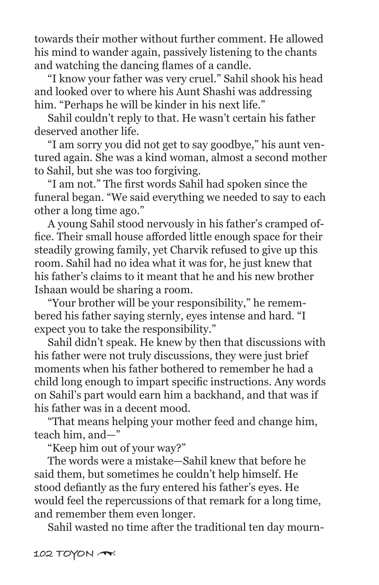towards their mother without further comment. He allowed his mind to wander again, passively listening to the chants and watching the dancing flames of a candle.

 "I know your father was very cruel." Sahil shook his head and looked over to where his Aunt Shashi was addressing him. "Perhaps he will be kinder in his next life."

 Sahil couldn't reply to that. He wasn't certain his father deserved another life.

 "I am sorry you did not get to say goodbye," his aunt ventured again. She was a kind woman, almost a second mother to Sahil, but she was too forgiving.

 "I am not." The first words Sahil had spoken since the funeral began. "We said everything we needed to say to each other a long time ago."

 A young Sahil stood nervously in his father's cramped office. Their small house afforded little enough space for their steadily growing family, yet Charvik refused to give up this room. Sahil had no idea what it was for, he just knew that his father's claims to it meant that he and his new brother Ishaan would be sharing a room.

 "Your brother will be your responsibility," he remembered his father saying sternly, eyes intense and hard. "I expect you to take the responsibility."

 Sahil didn't speak. He knew by then that discussions with his father were not truly discussions, they were just brief moments when his father bothered to remember he had a child long enough to impart specific instructions. Any words on Sahil's part would earn him a backhand, and that was if his father was in a decent mood.

 "That means helping your mother feed and change him, teach him, and—"

"Keep him out of your way?"

 The words were a mistake—Sahil knew that before he said them, but sometimes he couldn't help himself. He stood defiantly as the fury entered his father's eyes. He would feel the repercussions of that remark for a long time, and remember them even longer.

Sahil wasted no time after the traditional ten day mourn-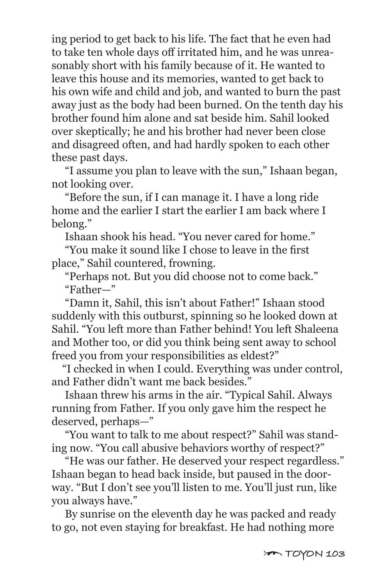ing period to get back to his life. The fact that he even had to take ten whole days off irritated him, and he was unreasonably short with his family because of it. He wanted to leave this house and its memories, wanted to get back to his own wife and child and job, and wanted to burn the past away just as the body had been burned. On the tenth day his brother found him alone and sat beside him. Sahil looked over skeptically; he and his brother had never been close and disagreed often, and had hardly spoken to each other these past days.

 "I assume you plan to leave with the sun," Ishaan began, not looking over.

 "Before the sun, if I can manage it. I have a long ride home and the earlier I start the earlier I am back where I belong."

Ishaan shook his head. "You never cared for home."

 "You make it sound like I chose to leave in the first place," Sahil countered, frowning.

 "Perhaps not. But you did choose not to come back." "Father—"

 "Damn it, Sahil, this isn't about Father!" Ishaan stood suddenly with this outburst, spinning so he looked down at Sahil. "You left more than Father behind! You left Shaleena and Mother too, or did you think being sent away to school freed you from your responsibilities as eldest?"

 "I checked in when I could. Everything was under control, and Father didn't want me back besides."

 Ishaan threw his arms in the air. "Typical Sahil. Always running from Father. If you only gave him the respect he deserved, perhaps—"

 "You want to talk to me about respect?" Sahil was standing now. "You call abusive behaviors worthy of respect?"

 "He was our father. He deserved your respect regardless." Ishaan began to head back inside, but paused in the doorway. "But I don't see you'll listen to me. You'll just run, like you always have."

 By sunrise on the eleventh day he was packed and ready to go, not even staying for breakfast. He had nothing more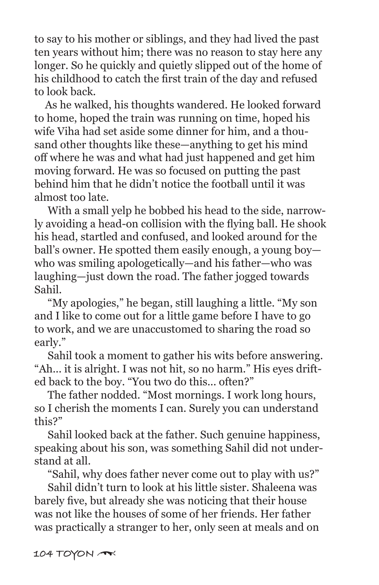to say to his mother or siblings, and they had lived the past ten years without him; there was no reason to stay here any longer. So he quickly and quietly slipped out of the home of his childhood to catch the first train of the day and refused to look back.

 As he walked, his thoughts wandered. He looked forward to home, hoped the train was running on time, hoped his wife Viha had set aside some dinner for him, and a thousand other thoughts like these—anything to get his mind off where he was and what had just happened and get him moving forward. He was so focused on putting the past behind him that he didn't notice the football until it was almost too late.

 With a small yelp he bobbed his head to the side, narrowly avoiding a head-on collision with the flying ball. He shook his head, startled and confused, and looked around for the ball's owner. He spotted them easily enough, a young boy who was smiling apologetically—and his father—who was laughing—just down the road. The father jogged towards Sahil.

 "My apologies," he began, still laughing a little. "My son and I like to come out for a little game before I have to go to work, and we are unaccustomed to sharing the road so early."

 Sahil took a moment to gather his wits before answering. "Ah... it is alright. I was not hit, so no harm." His eyes drifted back to the boy. "You two do this... often?"

 The father nodded. "Most mornings. I work long hours, so I cherish the moments I can. Surely you can understand this?"

 Sahil looked back at the father. Such genuine happiness, speaking about his son, was something Sahil did not understand at all.

"Sahil, why does father never come out to play with us?"

 Sahil didn't turn to look at his little sister. Shaleena was barely five, but already she was noticing that their house was not like the houses of some of her friends. Her father was practically a stranger to her, only seen at meals and on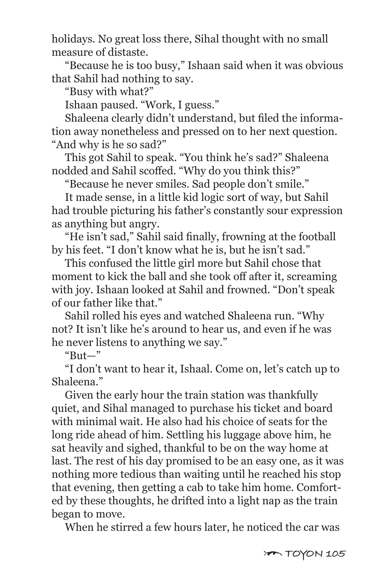holidays. No great loss there, Sihal thought with no small measure of distaste.

 "Because he is too busy," Ishaan said when it was obvious that Sahil had nothing to say.

"Busy with what?"

Ishaan paused. "Work, I guess."

 Shaleena clearly didn't understand, but filed the information away nonetheless and pressed on to her next question. "And why is he so sad?"

 This got Sahil to speak. "You think he's sad?" Shaleena nodded and Sahil scoffed. "Why do you think this?"

"Because he never smiles. Sad people don't smile."

 It made sense, in a little kid logic sort of way, but Sahil had trouble picturing his father's constantly sour expression as anything but angry.

 "He isn't sad," Sahil said finally, frowning at the football by his feet. "I don't know what he is, but he isn't sad."

 This confused the little girl more but Sahil chose that moment to kick the ball and she took off after it, screaming with joy. Ishaan looked at Sahil and frowned. "Don't speak of our father like that."

 Sahil rolled his eyes and watched Shaleena run. "Why not? It isn't like he's around to hear us, and even if he was he never listens to anything we say."

" $B$ ut—"

 "I don't want to hear it, Ishaal. Come on, let's catch up to Shaleena."

 Given the early hour the train station was thankfully quiet, and Sihal managed to purchase his ticket and board with minimal wait. He also had his choice of seats for the long ride ahead of him. Settling his luggage above him, he sat heavily and sighed, thankful to be on the way home at last. The rest of his day promised to be an easy one, as it was nothing more tedious than waiting until he reached his stop that evening, then getting a cab to take him home. Comforted by these thoughts, he drifted into a light nap as the train began to move.

When he stirred a few hours later, he noticed the car was

[ **TOYON 105**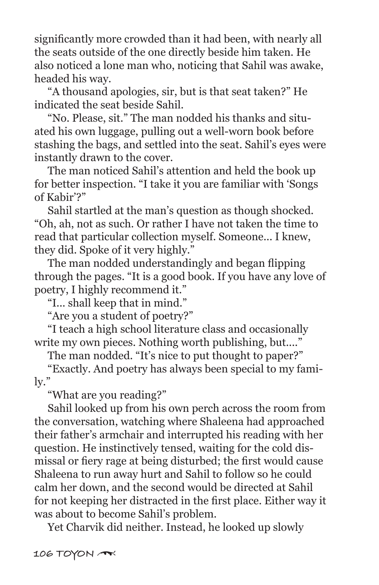significantly more crowded than it had been, with nearly all the seats outside of the one directly beside him taken. He also noticed a lone man who, noticing that Sahil was awake, headed his way.

 "A thousand apologies, sir, but is that seat taken?" He indicated the seat beside Sahil.

 "No. Please, sit." The man nodded his thanks and situated his own luggage, pulling out a well-worn book before stashing the bags, and settled into the seat. Sahil's eyes were instantly drawn to the cover.

 The man noticed Sahil's attention and held the book up for better inspection. "I take it you are familiar with 'Songs of Kabir'?"

 Sahil startled at the man's question as though shocked. "Oh, ah, not as such. Or rather I have not taken the time to read that particular collection myself. Someone... I knew, they did. Spoke of it very highly."

 The man nodded understandingly and began flipping through the pages. "It is a good book. If you have any love of poetry, I highly recommend it."

"I... shall keep that in mind."

"Are you a student of poetry?"

 "I teach a high school literature class and occasionally write my own pieces. Nothing worth publishing, but...."

The man nodded. "It's nice to put thought to paper?"

 "Exactly. And poetry has always been special to my family."

"What are you reading?"

 Sahil looked up from his own perch across the room from the conversation, watching where Shaleena had approached their father's armchair and interrupted his reading with her question. He instinctively tensed, waiting for the cold dismissal or fiery rage at being disturbed; the first would cause Shaleena to run away hurt and Sahil to follow so he could calm her down, and the second would be directed at Sahil for not keeping her distracted in the first place. Either way it was about to become Sahil's problem.

Yet Charvik did neither. Instead, he looked up slowly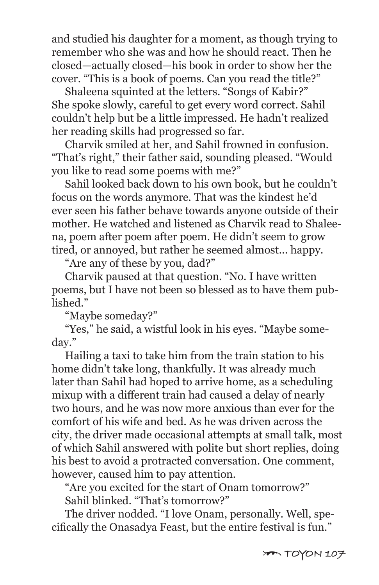and studied his daughter for a moment, as though trying to remember who she was and how he should react. Then he closed—actually closed—his book in order to show her the cover. "This is a book of poems. Can you read the title?"

 Shaleena squinted at the letters. "Songs of Kabir?" She spoke slowly, careful to get every word correct. Sahil couldn't help but be a little impressed. He hadn't realized her reading skills had progressed so far.

 Charvik smiled at her, and Sahil frowned in confusion. "That's right," their father said, sounding pleased. "Would you like to read some poems with me?"

 Sahil looked back down to his own book, but he couldn't focus on the words anymore. That was the kindest he'd ever seen his father behave towards anyone outside of their mother. He watched and listened as Charvik read to Shaleena, poem after poem after poem. He didn't seem to grow tired, or annoyed, but rather he seemed almost... happy.

"Are any of these by you, dad?"

 Charvik paused at that question. "No. I have written poems, but I have not been so blessed as to have them published."

"Maybe someday?"

 "Yes," he said, a wistful look in his eyes. "Maybe someday."

 Hailing a taxi to take him from the train station to his home didn't take long, thankfully. It was already much later than Sahil had hoped to arrive home, as a scheduling mixup with a different train had caused a delay of nearly two hours, and he was now more anxious than ever for the comfort of his wife and bed. As he was driven across the city, the driver made occasional attempts at small talk, most of which Sahil answered with polite but short replies, doing his best to avoid a protracted conversation. One comment, however, caused him to pay attention.

 "Are you excited for the start of Onam tomorrow?" Sahil blinked. "That's tomorrow?"

 The driver nodded. "I love Onam, personally. Well, specifically the Onasadya Feast, but the entire festival is fun."

 $70$  TOYON 107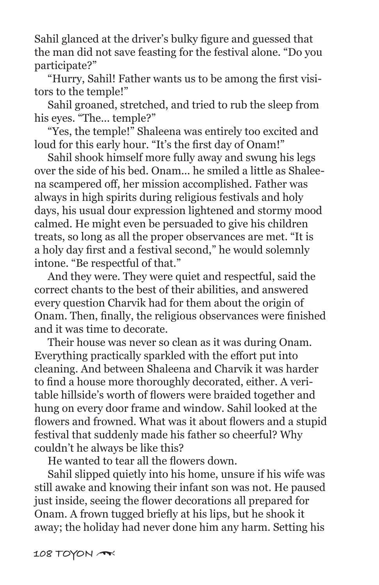Sahil glanced at the driver's bulky figure and guessed that the man did not save feasting for the festival alone. "Do you participate?"

 "Hurry, Sahil! Father wants us to be among the first visitors to the temple!"

 Sahil groaned, stretched, and tried to rub the sleep from his eyes. "The... temple?"

 "Yes, the temple!" Shaleena was entirely too excited and loud for this early hour. "It's the first day of Onam!"

 Sahil shook himself more fully away and swung his legs over the side of his bed. Onam... he smiled a little as Shaleena scampered off, her mission accomplished. Father was always in high spirits during religious festivals and holy days, his usual dour expression lightened and stormy mood calmed. He might even be persuaded to give his children treats, so long as all the proper observances are met. "It is a holy day first and a festival second," he would solemnly intone. "Be respectful of that."

 And they were. They were quiet and respectful, said the correct chants to the best of their abilities, and answered every question Charvik had for them about the origin of Onam. Then, finally, the religious observances were finished and it was time to decorate.

 Their house was never so clean as it was during Onam. Everything practically sparkled with the effort put into cleaning. And between Shaleena and Charvik it was harder to find a house more thoroughly decorated, either. A veritable hillside's worth of flowers were braided together and hung on every door frame and window. Sahil looked at the flowers and frowned. What was it about flowers and a stupid festival that suddenly made his father so cheerful? Why couldn't he always be like this?

He wanted to tear all the flowers down.

 Sahil slipped quietly into his home, unsure if his wife was still awake and knowing their infant son was not. He paused just inside, seeing the flower decorations all prepared for Onam. A frown tugged briefly at his lips, but he shook it away; the holiday had never done him any harm. Setting his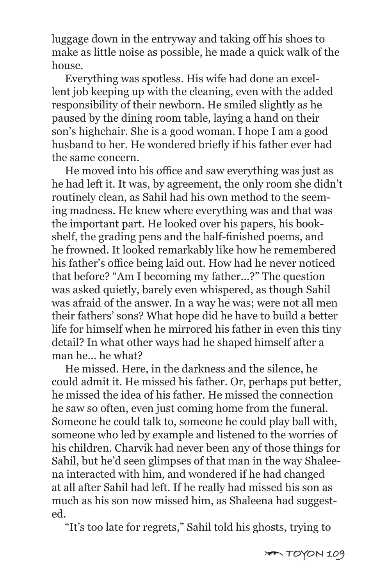luggage down in the entryway and taking off his shoes to make as little noise as possible, he made a quick walk of the house.

 Everything was spotless. His wife had done an excellent job keeping up with the cleaning, even with the added responsibility of their newborn. He smiled slightly as he paused by the dining room table, laying a hand on their son's highchair. She is a good woman. I hope I am a good husband to her. He wondered briefly if his father ever had the same concern.

 He moved into his office and saw everything was just as he had left it. It was, by agreement, the only room she didn't routinely clean, as Sahil had his own method to the seeming madness. He knew where everything was and that was the important part. He looked over his papers, his bookshelf, the grading pens and the half-finished poems, and he frowned. It looked remarkably like how he remembered his father's office being laid out. How had he never noticed that before? "Am I becoming my father...?" The question was asked quietly, barely even whispered, as though Sahil was afraid of the answer. In a way he was; were not all men their fathers' sons? What hope did he have to build a better life for himself when he mirrored his father in even this tiny detail? In what other ways had he shaped himself after a man he... he what?

 He missed. Here, in the darkness and the silence, he could admit it. He missed his father. Or, perhaps put better, he missed the idea of his father. He missed the connection he saw so often, even just coming home from the funeral. Someone he could talk to, someone he could play ball with, someone who led by example and listened to the worries of his children. Charvik had never been any of those things for Sahil, but he'd seen glimpses of that man in the way Shaleena interacted with him, and wondered if he had changed at all after Sahil had left. If he really had missed his son as much as his son now missed him, as Shaleena had suggested.

"It's too late for regrets," Sahil told his ghosts, trying to

 $70\%$  M 109